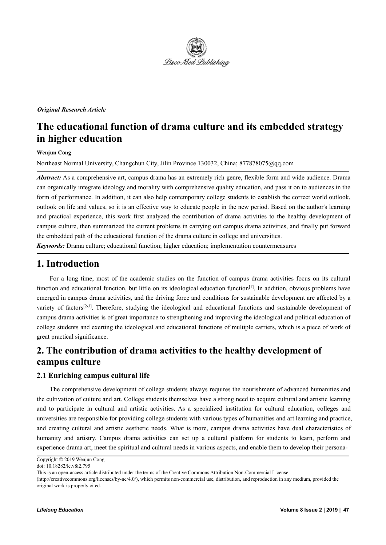

#### *Original Research Article*

# **The educational function of drama culture and its embedded strategy in higher education**

#### **Wenjun Cong**

Northeast Normal University, Changchun City, Jilin Province 130032, China; 877878075@qq.com

*Abstract:* As a comprehensive art, campus drama has an extremely rich genre, flexible form and wide audience. Drama can organically integrate ideology and morality with comprehensive quality education, and passit on to audiences in the form of performance. In addition, it can also help contemporary college students to establish the correct world outlook, outlook on life and values, so it is an effective way to educate people in the new period. Based on the author's learning and practical experience, this work first analyzed the contribution of drama activities to the healthy development of campus culture, then summarized the current problems in carrying out campus drama activities, and finally put forward the embedded path of the educational function of the drama culture in college and universities.

*Keywords:* Drama culture; educational function; higher education; implementation countermeasures

### **1. Introduction**

For a long time, most of the academic studies on the function of campus drama activities focus on its cultural function and educational function, but little on its ideological education function<sup>[1]</sup>. In addition, obvious problems have emerged in campus drama activities, and the driving force and conditions for sustainable development are affected by a variety of factors<sup>[2-3]</sup>. Therefore, studying the ideological and educational functions and sustainable development of campus drama activities is of great importance to strengthening and improving the ideological and political education of college students and exerting the ideological and educational functions of multiple carriers, which is a piece of work of great practical significance.

## **2. The contribution of drama activities to the healthy development of campus culture**

#### **2.1 Enriching campus cultural life**

The comprehensive development of college students always requires the nourishment of advanced humanities and the cultivation of culture and art. College students themselves have a strong need to acquire cultural and artistic learning and to participate in cultural and artistic activities. As a specialized institution for cultural education, colleges and universities are responsible for providing college students with various types of humanities and art learning and practice, and creating cultural and artistic aesthetic needs. What is more, campus drama activities have dual characteristics of humanity and artistry. Campus drama activities can set up a cultural platform for students to learn, perform and experience drama art, meet the spiritual and cultural needs in various aspects, and enable them to develop their persona-

Copyright © 2019 Wenjun Cong

doi: 10.18282/le.v8i2.795

This is an open-access article distributed under the terms of the Creative Commons Attribution Non-Commercial License

<sup>(</sup>http://creativecommons.org/licenses/by-nc/4.0/), which permits non-commercial use, distribution, and reproduction in any medium, provided the original work is properly cited.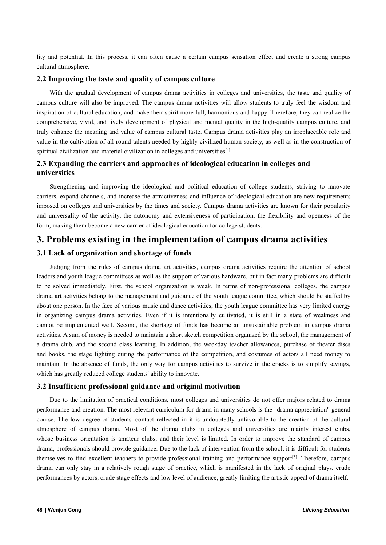lity and potential. In this process, it can often cause a certain campus sensation effect and create a strong campus cultural atmosphere.

#### **2.2 Improving the taste and quality of campus culture**

With the gradual development of campus drama activities in colleges and universities, the taste and quality of campus culture will also be improved. The campus drama activities will allow students to truly feel the wisdom and inspiration of cultural education, and make their spirit more full, harmonious and happy. Therefore, they can realize the comprehensive, vivid, and lively development of physical and mental quality in the high-quality campus culture, and truly enhance the meaning and value of campus cultural taste. Campus drama activities play an irreplaceable role and value in the cultivation of all-round talents needed by highly civilized human society, as well as in the construction of spiritual civilization and material civilization in colleges and universities [4].

#### **2.3 Expanding the carriers and approaches ofideological education in colleges and universities**

Strengthening and improving the ideological and political education of college students, striving to innovate carriers, expand channels, and increase the attractiveness and influence of ideological education are new requirements imposed on colleges and universities by the times and society. Campus drama activities are known for their popularity and universality of the activity, the autonomy and extensiveness of participation, the flexibility and openness of the form, making them become a new carrier of ideological education for college students.

### **3. Problems existing in the implementation of campus drama activities**

#### **3.1 Lack of organization and shortage of funds**

Judging from the rules of campus drama art activities, campus drama activities require the attention of school leaders and youth league committees as well as the support of various hardware, but in fact many problems are difficult to be solved immediately. First, the school organization is weak. In terms of non-professional colleges, the campus drama art activities belong to the management and guidance of the youth league committee, which should be staffed by about one person. In the face of various music and dance activities, the youth league committee has very limited energy in organizing campus drama activities. Even if it is intentionally cultivated, it is still in a state of weakness and cannot be implemented well. Second, the shortage of funds has become an unsustainable problem in campus drama activities. A sum of money is needed to maintain a short sketch competition organized by the school, the management of a drama club, and the second class learning. In addition, the weekday teacher allowances, purchase of theater discs and books, the stage lighting during the performance of the competition, and costumes of actors all need money to maintain. In the absence of funds, the only way for campus activities to survive in the cracks is to simplify savings, which has greatly reduced college students' ability to innovate.

#### **3.2 Insufficient professional guidance and original motivation**

Due to the limitation of practical conditions, most colleges and universities do not offer majors related to drama performance and creation. The most relevant curriculum for drama in many schools is the "drama appreciation" general course. The low degree of students' contact reflected in it is undoubtedly unfavorable to the creation of the cultural atmosphere of campus drama. Most of the drama clubs in colleges and universities are mainly interest clubs, whose business orientation is amateur clubs, and their level is limited. In order to improve the standard of campus drama, professionals should provide guidance. Due to the lack of intervention from the school, it is difficult for students themselves to find excellent teachers to provide professional training and performance support [5]. Therefore, campus drama can only stay in a relatively rough stage of practice, which is manifested in the lack of original plays, crude performances by actors, crude stage effects and low level of audience, greatly limiting the artistic appeal of drama itself.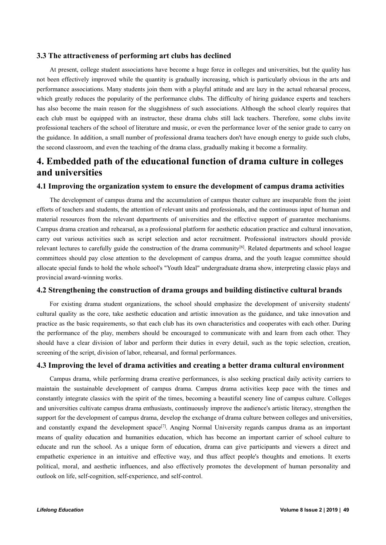#### **3.3 The attractiveness ofperforming art clubs has declined**

At present, college student associations have become a huge force in colleges and universities, but the quality has not been effectively improved while the quantity is gradually increasing, which is particularly obvious in the arts and performance associations. Many students join them with a playful attitude and are lazy in the actual rehearsal process, which greatly reduces the popularity of the performance clubs. The difficulty of hiring guidance experts and teachers has also become the main reason for the sluggishness of such associations. Although the school clearly requires that each club must be equipped with an instructor, these drama clubs still lack teachers. Therefore, some clubs invite professional teachers ofthe school of literature and music, or even the performance lover of the senior grade to carry on the guidance. In addition, a small number of professional drama teachers don't have enough energy to guide such clubs, the second classroom, and even the teaching of the drama class, gradually making it become a formality.

## **4. Embedded path of the educational function of drama culture in colleges and universities**

#### **4.1 Improving the organization system to ensure the development of campus drama activities**

The development of campus drama and the accumulation of campus theater culture are inseparable from the joint efforts of teachers and students, the attention of relevant units and professionals, and the continuous input of human and material resources from the relevant departments of universities and the effective support of guarantee mechanisms. Campus drama creation and rehearsal, as a professional platform for aesthetic education practice and cultural innovation, carry out various activities such as script selection and actor recruitment. Professional instructors should provide relevant lectures to carefully guide the construction of the drama community<sup>[6]</sup>. Related departments and school league committees should pay close attention to the development of campus drama, and the youth league committee should allocate special funds to hold the whole school's "Youth Ideal" undergraduate drama show, interpreting classic plays and provincial award-winning works.

#### **4.2 Strengthening the construction of drama groups and building distinctive cultural brands**

For existing drama student organizations, the school should emphasize the development of university students' cultural quality as the core, take aesthetic education and artistic innovation as the guidance, and take innovation and practice as the basic requirements, so that each club has its own characteristics and cooperates with each other. During the performance of the play, members should be encouraged to communicate with and learn from each other. They should have a clear division of labor and perform their duties in every detail, such as the topic selection, creation, screening of the script, division of labor, rehearsal, and formal performances.

#### **4.3 Improving the level of drama activities and creating a better drama cultural environment**

Campus drama, while performing drama creative performances, is also seeking practical daily activity carriers to maintain the sustainable development of campus drama. Campus drama activities keep pace with the times and constantly integrate classics with the spirit of the times, becoming a beautiful scenery line of campus culture. Colleges and universities cultivate campus drama enthusiasts, continuously improve the audience's artistic literacy, strengthen the support for the development of campus drama, develop the exchange of drama culture between colleges and universities, and constantly expand the development space<sup>[7]</sup>. Anging Normal University regards campus drama as an important means of quality education and humanities education, which has become an important carrier of school culture to educate and run the school. As a unique form of education, drama can give participants and viewers a direct and empathetic experience in an intuitive and effective way, and thus affect people's thoughts and emotions. It exerts political, moral, and aesthetic influences, and also effectively promotes the development of human personality and outlook on life, self-cognition, self-experience, and self-control.